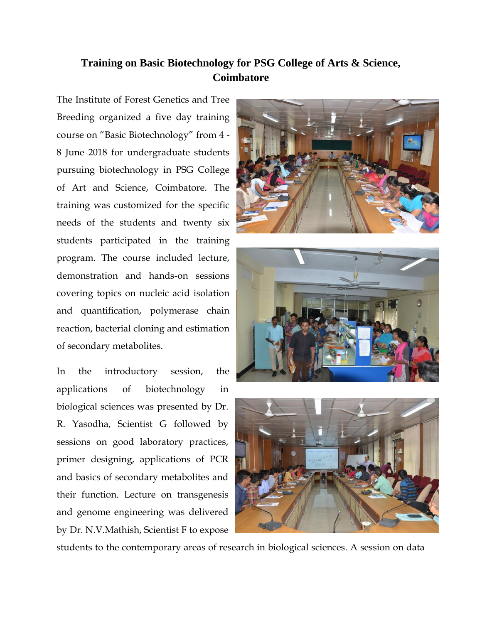## **Training on Basic Biotechnology for PSG College of Arts & Science, Coimbatore**

The Institute of Forest Genetics and Tree Breeding organized a five day training course on "Basic Biotechnology" from 4 - 8 June 2018 for undergraduate students pursuing biotechnology in PSG College of Art and Science, Coimbatore. The training was customized for the specific needs of the students and twenty six students participated in the training program. The course included lecture, demonstration and hands-on sessions covering topics on nucleic acid isolation and quantification, polymerase chain reaction, bacterial cloning and estimation of secondary metabolites.

In the introductory session, the applications of biotechnology in biological sciences was presented by Dr. R. Yasodha, Scientist G followed by sessions on good laboratory practices, primer designing, applications of PCR and basics of secondary metabolites and their function. Lecture on transgenesis and genome engineering was delivered by Dr. N.V.Mathish, Scientist F to expose







students to the contemporary areas of research in biological sciences. A session on data